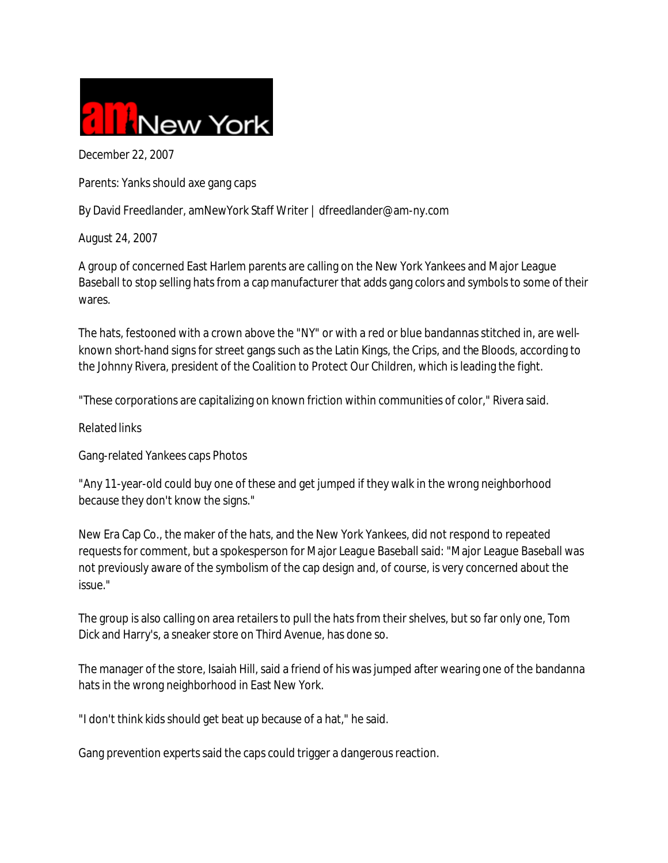

December 22, 2007

Parents: Yanks should axe gang caps

By David Freedlander, amNewYork Staff Writer | dfreedlander@am-ny.com

August 24, 2007

A group of concerned East Harlem parents are calling on the New York Yankees and Major League Baseball to stop selling hats from a cap manufacturer that adds gang colors and symbols to some of their wares.

The hats, festooned with a crown above the "NY" or with a red or blue bandannas stitched in, are wellknown short-hand signs for street gangs such as the Latin Kings, the Crips, and the Bloods, according to the Johnny Rivera, president of the Coalition to Protect Our Children, which is leading the fight.

"These corporations are capitalizing on known friction within communities of color," Rivera said.

Related links

Gang-related Yankees caps Photos

"Any 11-year-old could buy one of these and get jumped if they walk in the wrong neighborhood because they don't know the signs."

New Era Cap Co., the maker of the hats, and the New York Yankees, did not respond to repeated requests for comment, but a spokesperson for Major League Baseball said: "Major League Baseball was not previously aware of the symbolism of the cap design and, of course, is very concerned about the issue."

The group is also calling on area retailers to pull the hats from their shelves, but so far only one, Tom Dick and Harry's, a sneaker store on Third Avenue, has done so.

The manager of the store, Isaiah Hill, said a friend of his was jumped after wearing one of the bandanna hats in the wrong neighborhood in East New York.

"I don't think kids should get beat up because of a hat," he said.

Gang prevention experts said the caps could trigger a dangerous reaction.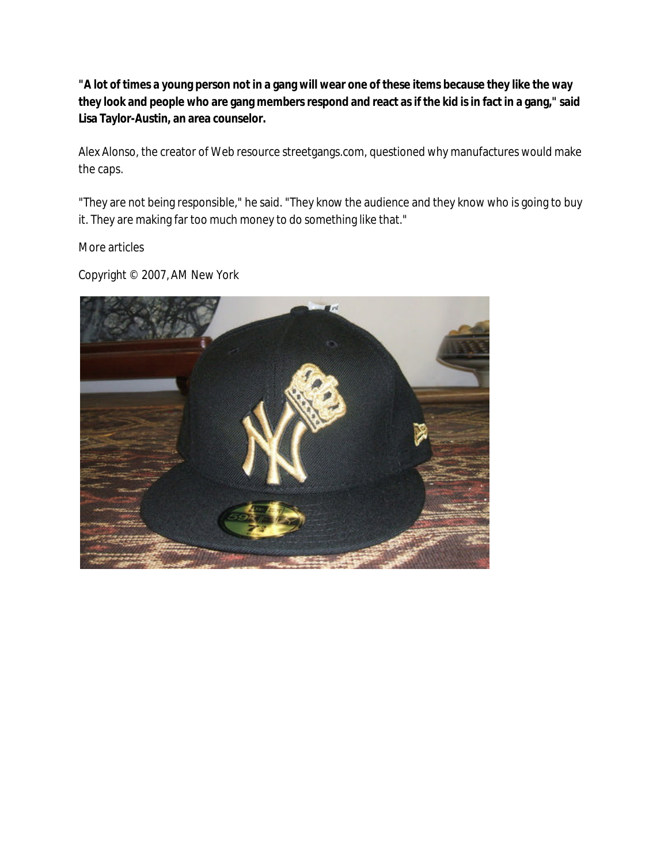**"A lot of times a young person not in a gang will wear one of these items because they like the way they look and people who are gang members respond and react as if the kid is in fact in a gang," said Lisa Taylor-Austin, an area counselor.**

Alex Alonso, the creator of Web resource streetgangs.com, questioned why manufactures would make the caps.

"They are not being responsible," he said. "They know the audience and they know who is going to buy it. They are making far too much money to do something like that."

More articles

Copyright © 2007, AM New York